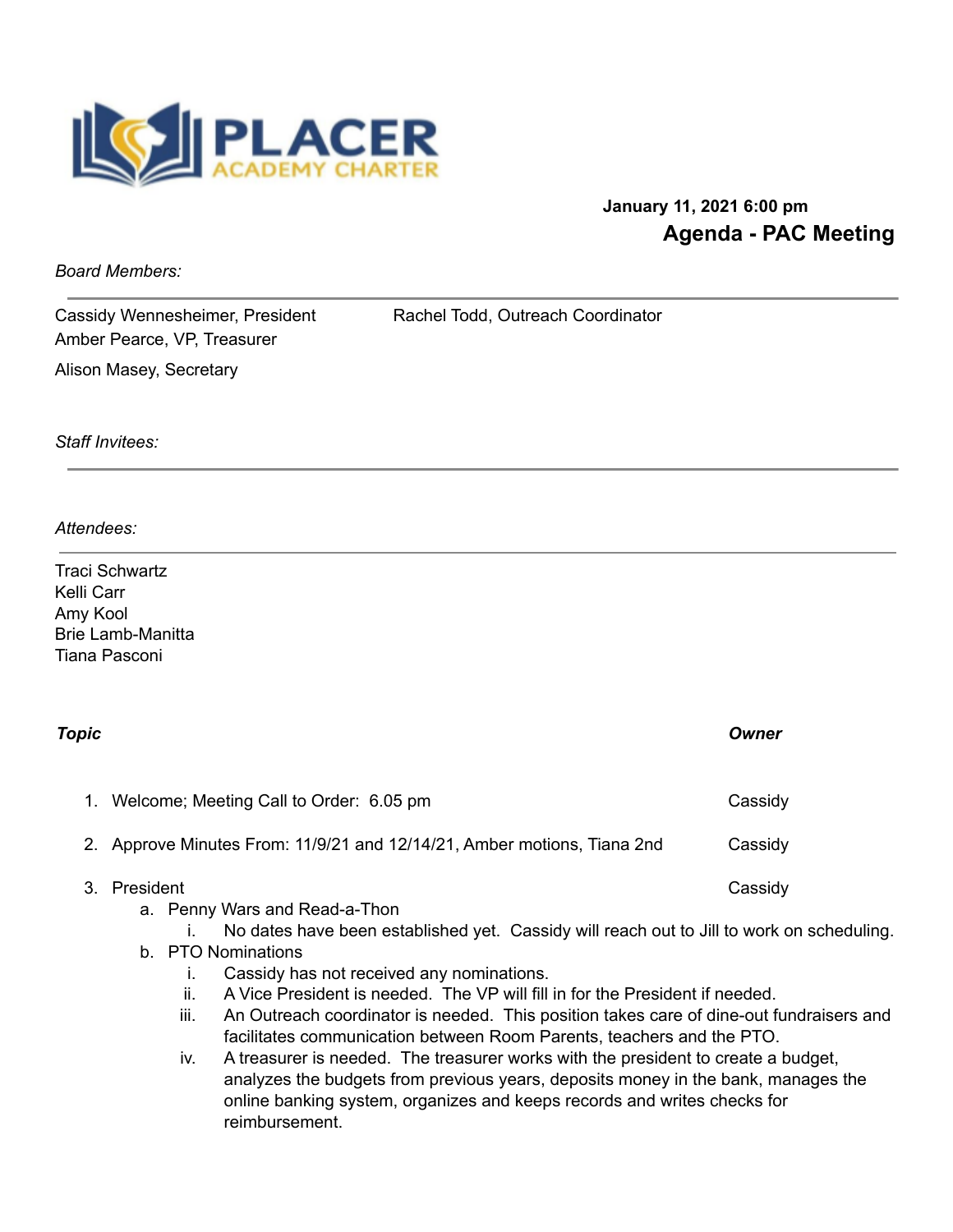

## **January 11, 2021 6:00 pm Agenda - PAC Meeting**

*Board Members:*

Cassidy Wennesheimer, President Rachel Todd, Outreach Coordinator Amber Pearce, VP, Treasurer Alison Masey, Secretary

*Staff Invitees:*

## *Attendees:*

Traci Schwartz Kelli Carr Amy Kool Brie Lamb-Manitta Tiana Pasconi

| Topic |                                                                                                                                                                                                                                                                                                                                                                                                                                                                                                                                                                                                                                                                                                                                                                    | Owner   |
|-------|--------------------------------------------------------------------------------------------------------------------------------------------------------------------------------------------------------------------------------------------------------------------------------------------------------------------------------------------------------------------------------------------------------------------------------------------------------------------------------------------------------------------------------------------------------------------------------------------------------------------------------------------------------------------------------------------------------------------------------------------------------------------|---------|
| 1.    | Welcome; Meeting Call to Order: 6.05 pm                                                                                                                                                                                                                                                                                                                                                                                                                                                                                                                                                                                                                                                                                                                            | Cassidy |
|       | Approve Minutes From: 11/9/21 and 12/14/21, Amber motions, Tiana 2nd                                                                                                                                                                                                                                                                                                                                                                                                                                                                                                                                                                                                                                                                                               | Cassidy |
| 3.    | President<br>a. Penny Wars and Read-a-Thon<br>No dates have been established yet. Cassidy will reach out to Jill to work on scheduling.<br>b. PTO Nominations<br>Cassidy has not received any nominations.<br>Τ.<br>A Vice President is needed. The VP will fill in for the President if needed.<br>ii.<br>iii.<br>An Outreach coordinator is needed. This position takes care of dine-out fundraisers and<br>facilitates communication between Room Parents, teachers and the PTO.<br>A treasurer is needed. The treasurer works with the president to create a budget,<br>İV.<br>analyzes the budgets from previous years, deposits money in the bank, manages the<br>online banking system, organizes and keeps records and writes checks for<br>reimbursement. | Cassidy |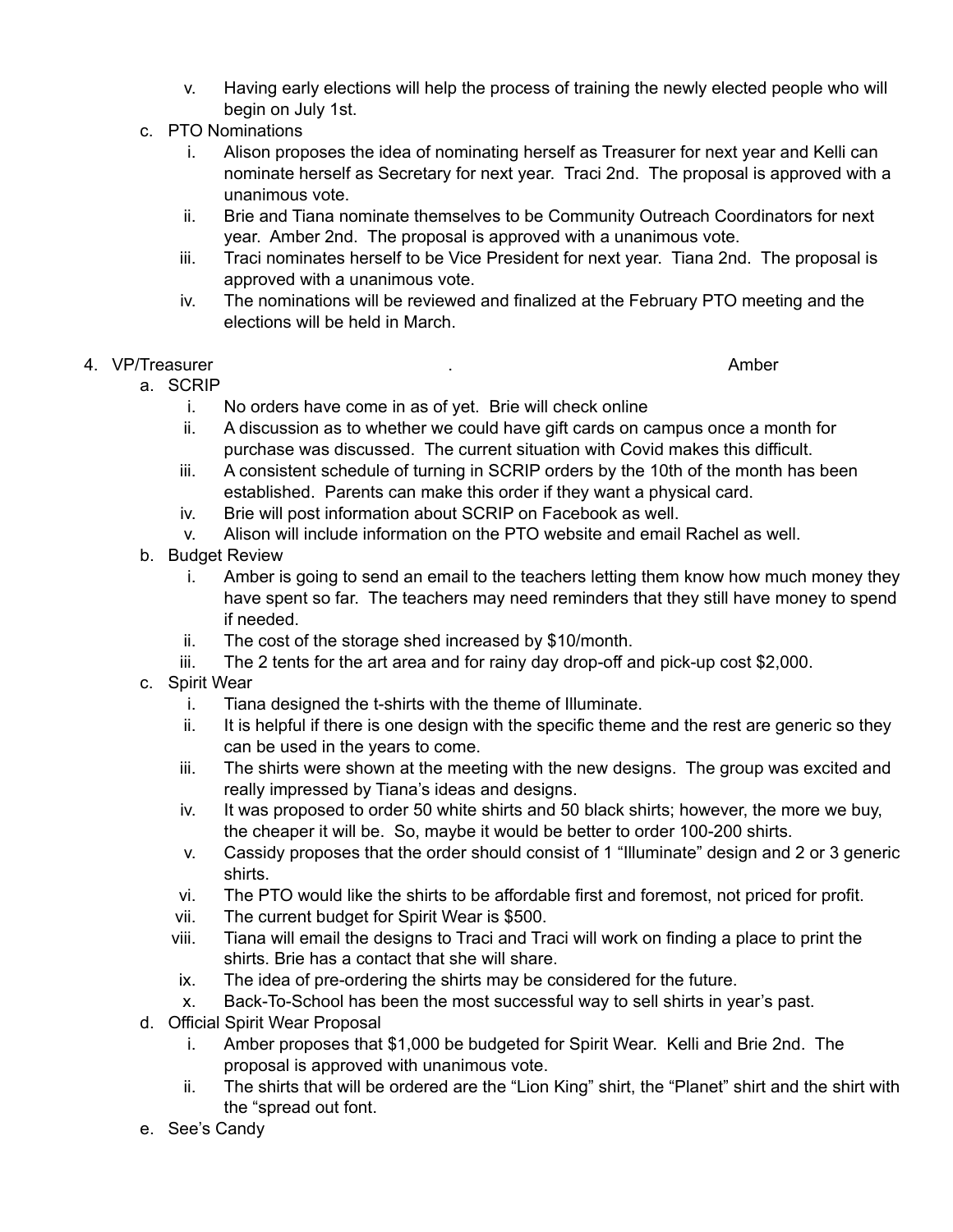- v. Having early elections will help the process of training the newly elected people who will begin on July 1st.
- c. PTO Nominations
	- i. Alison proposes the idea of nominating herself as Treasurer for next year and Kelli can nominate herself as Secretary for next year. Traci 2nd. The proposal is approved with a unanimous vote.
	- ii. Brie and Tiana nominate themselves to be Community Outreach Coordinators for next year. Amber 2nd. The proposal is approved with a unanimous vote.
	- iii. Traci nominates herself to be Vice President for next year. Tiana 2nd. The proposal is approved with a unanimous vote.
	- iv. The nominations will be reviewed and finalized at the February PTO meeting and the elections will be held in March.

## 4. VP/Treasurer . Amber

- a. SCRIP
	- i. No orders have come in as of yet. Brie will check online
	- ii. A discussion as to whether we could have gift cards on campus once a month for purchase was discussed. The current situation with Covid makes this difficult.
	- iii. A consistent schedule of turning in SCRIP orders by the 10th of the month has been established. Parents can make this order if they want a physical card.
	- iv. Brie will post information about SCRIP on Facebook as well.
	- v. Alison will include information on the PTO website and email Rachel as well.
- b. Budget Review
	- i. Amber is going to send an email to the teachers letting them know how much money they have spent so far. The teachers may need reminders that they still have money to spend if needed.
	- ii. The cost of the storage shed increased by \$10/month.
	- iii. The 2 tents for the art area and for rainy day drop-off and pick-up cost \$2,000.
- c. Spirit Wear
	- i. Tiana designed the t-shirts with the theme of Illuminate.
	- ii. It is helpful if there is one design with the specific theme and the rest are generic so they can be used in the years to come.
	- iii. The shirts were shown at the meeting with the new designs. The group was excited and really impressed by Tiana's ideas and designs.
	- iv. It was proposed to order 50 white shirts and 50 black shirts; however, the more we buy, the cheaper it will be. So, maybe it would be better to order 100-200 shirts.
	- v. Cassidy proposes that the order should consist of 1 "Illuminate" design and 2 or 3 generic shirts.
	- vi. The PTO would like the shirts to be affordable first and foremost, not priced for profit.
	- vii. The current budget for Spirit Wear is \$500.
	- viii. Tiana will email the designs to Traci and Traci will work on finding a place to print the shirts. Brie has a contact that she will share.
	- ix. The idea of pre-ordering the shirts may be considered for the future.
	- x. Back-To-School has been the most successful way to sell shirts in year's past.
- d. Official Spirit Wear Proposal
	- i. Amber proposes that \$1,000 be budgeted for Spirit Wear. Kelli and Brie 2nd. The proposal is approved with unanimous vote.
	- ii. The shirts that will be ordered are the "Lion King" shirt, the "Planet" shirt and the shirt with the "spread out font.
- e. See's Candy